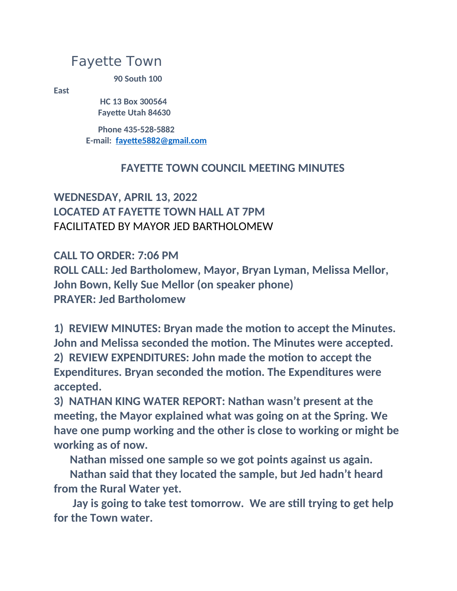## Fayette Town

**90 South 100**

**East**

**HC 13 Box 300564 Fayette Utah 84630**

**Phone 435-528-5882 E-mail: fayette5882@gmail.com**

## **FAYETTE TOWN COUNCIL MEETING MINUTES**

**WEDNESDAY, APRIL 13, 2022 LOCATED AT FAYETTE TOWN HALL AT 7PM** FACILITATED BY MAYOR JED BARTHOLOMEW

**CALL TO ORDER: 7:06 PM ROLL CALL: Jed Bartholomew, Mayor, Bryan Lyman, Melissa Mellor, John Bown, Kelly Sue Mellor (on speaker phone) PRAYER: Jed Bartholomew**

**1) REVIEW MINUTES: Bryan made the motion to accept the Minutes. John and Melissa seconded the motion. The Minutes were accepted. 2) REVIEW EXPENDITURES: John made the motion to accept the Expenditures. Bryan seconded the motion. The Expenditures were accepted.**

**3) NATHAN KING WATER REPORT: Nathan wasn't present at the meeting, the Mayor explained what was going on at the Spring. We have one pump working and the other is close to working or might be working as of now.**

**Nathan missed one sample so we got points against us again.**

**Nathan said that they located the sample, but Jed hadn't heard from the Rural Water yet.**

**Jay is going to take test tomorrow. We are still trying to get help for the Town water.**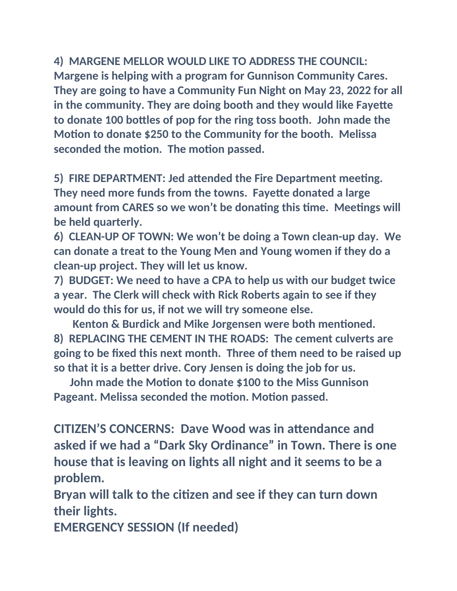**4) MARGENE MELLOR WOULD LIKE TO ADDRESS THE COUNCIL: Margene is helping with a program for Gunnison Community Cares. They are going to have a Community Fun Night on May 23, 2022 for all in the community. They are doing booth and they would like Fayette to donate 100 bottles of pop for the ring toss booth. John made the Motion to donate \$250 to the Community for the booth. Melissa seconded the motion. The motion passed.**

**5) FIRE DEPARTMENT: Jed attended the Fire Department meeting. They need more funds from the towns. Fayette donated a large amount from CARES so we won't be donating this time. Meetings will be held quarterly.**

**6) CLEAN-UP OF TOWN: We won't be doing a Town clean-up day. We can donate a treat to the Young Men and Young women if they do a clean-up project. They will let us know.**

**7) BUDGET: We need to have a CPA to help us with our budget twice a year. The Clerk will check with Rick Roberts again to see if they would do this for us, if not we will try someone else.**

**Kenton & Burdick and Mike Jorgensen were both mentioned. 8) REPLACING THE CEMENT IN THE ROADS: The cement culverts are going to be fixed this next month. Three of them need to be raised up so that it is a better drive. Cory Jensen is doing the job for us.**

**John made the Motion to donate \$100 to the Miss Gunnison Pageant. Melissa seconded the motion. Motion passed.**

**CITIZEN'S CONCERNS: Dave Wood was in attendance and asked if we had a "Dark Sky Ordinance" in Town. There is one house that is leaving on lights all night and it seems to be a problem.**

**Bryan will talk to the citizen and see if they can turn down their lights.**

**EMERGENCY SESSION (If needed)**